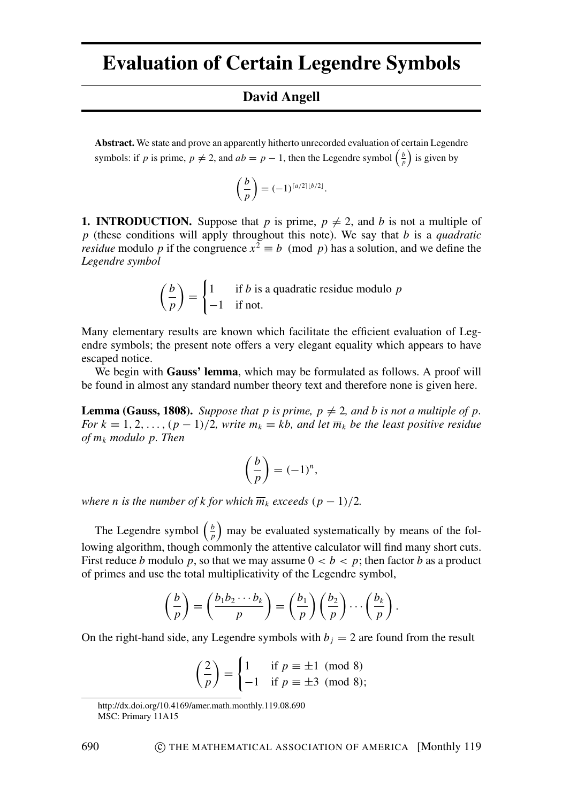## **Evaluation of Certain Legendre Symbols**

## **David Angell**

Abstract. We state and prove an apparently hitherto unrecorded evaluation of certain Legendre symbols: if p is prime,  $p \neq 2$ , and  $ab = p - 1$ , then the Legendre symbol  $\left(\frac{b}{n}\right)$  is given by

$$
\left(\frac{b}{p}\right) = (-1)^{\lceil a/2 \rceil \lfloor b/2 \rfloor}
$$

**1. INTRODUCTION.** Suppose that p is prime,  $p \neq 2$ , and b is not a multiple of  $p$  (these conditions will apply throughout this note). We say that  $b$  is a quadratic *residue* modulo p if the congruence  $x^2 \equiv b \pmod{p}$  has a solution, and we define the Legendre symbol

$$
\left(\frac{b}{p}\right) = \begin{cases} 1 & \text{if } b \text{ is a quadratic residue modulo } p \\ -1 & \text{if not.} \end{cases}
$$

Many elementary results are known which facilitate the efficient evaluation of Legendre symbols; the present note offers a very elegant equality which appears to have escaped notice.

We begin with Gauss' lemma, which may be formulated as follows. A proof will be found in almost any standard number theory text and therefore none is given here.

**Lemma (Gauss, 1808).** Suppose that p is prime,  $p \neq 2$ , and b is not a multiple of p. For  $k = 1, 2, ..., (p - 1)/2$ , write  $m_k = kb$ , and let  $\overline{m}_k$  be the least positive residue of  $m_k$  modulo p. Then

$$
\left(\frac{b}{p}\right) = (-1)^n,
$$

where *n* is the number of *k* for which  $\overline{m}_k$  exceeds  $(p-1)/2$ .

The Legendre symbol  $\left(\frac{b}{n}\right)$  may be evaluated systematically by means of the following algorithm, though commonly the attentive calculator will find many short cuts. First reduce b modulo p, so that we may assume  $0 < b < p$ ; then factor b as a product of primes and use the total multiplicativity of the Legendre symbol,

$$
\left(\frac{b}{p}\right) = \left(\frac{b_1b_2\cdots b_k}{p}\right) = \left(\frac{b_1}{p}\right)\left(\frac{b_2}{p}\right)\cdots\left(\frac{b_k}{p}\right).
$$

On the right-hand side, any Legendre symbols with  $b_i = 2$  are found from the result

$$
\left(\frac{2}{p}\right) = \begin{cases} 1 & \text{if } p \equiv \pm 1 \pmod{8} \\ -1 & \text{if } p \equiv \pm 3 \pmod{8}; \end{cases}
$$

http://dx.doi.org/10.4169/amer.math.monthly.119.08.690

MSC: Primary 11A15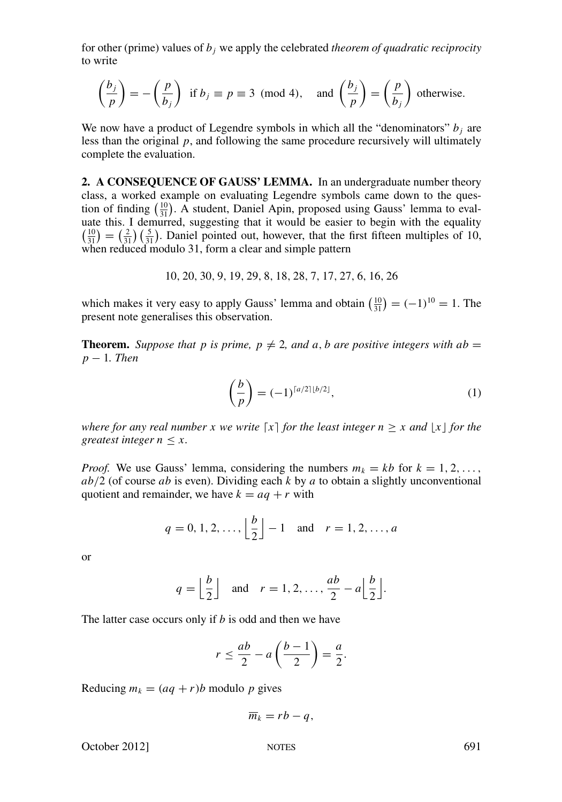for other (prime) values of  $b_i$  we apply the celebrated theorem of quadratic reciprocity to write

$$
\left(\frac{b_j}{p}\right) = -\left(\frac{p}{b_j}\right) \text{ if } b_j \equiv p \equiv 3 \pmod{4}, \text{ and } \left(\frac{b_j}{p}\right) = \left(\frac{p}{b_j}\right) \text{ otherwise.}
$$

We now have a product of Legendre symbols in which all the "denominators"  $b_i$  are less than the original  $p$ , and following the same procedure recursively will ultimately complete the evaluation.

2. A CONSEQUENCE OF GAUSS' LEMMA. In an undergraduate number theory class, a worked example on evaluating Legendre symbols came down to the question of finding  $\left(\frac{10}{31}\right)$ . A student, Daniel Apin, proposed using Gauss' lemma to evaluate this. I demurred, suggesting that it would be easier to begin with the equality  $\left(\frac{10}{31}\right) = \left(\frac{2}{31}\right)\left(\frac{5}{31}\right)$ . Daniel pointed out, however, that the first fifteen multiples of 10, when reduced modulo 31, form a clear and simple pattern

10, 20, 30, 9, 19, 29, 8, 18, 28, 7, 17, 27, 6, 16, 26

which makes it very easy to apply Gauss' lemma and obtain  $\left(\frac{10}{31}\right) = (-1)^{10} = 1$ . The present note generalises this observation.

**Theorem.** Suppose that p is prime,  $p \neq 2$ , and a, b are positive integers with ab =  $p-1$ . Then

$$
\left(\frac{b}{p}\right) = (-1)^{\lceil a/2 \rceil \lfloor b/2 \rfloor},\tag{1}
$$

where for any real number x we write  $\lceil x \rceil$  for the least integer  $n \geq x$  and  $\lfloor x \rfloor$  for the greatest integer  $n \leq x$ .

*Proof.* We use Gauss' lemma, considering the numbers  $m_k = kb$  for  $k = 1, 2, \dots$ ,  $ab/2$  (of course ab is even). Dividing each k by a to obtain a slightly unconventional quotient and remainder, we have  $k = aq + r$  with

$$
q = 0, 1, 2, ..., \left\lfloor \frac{b}{2} \right\rfloor - 1
$$
 and  $r = 1, 2, ..., a$ 

**or** 

$$
q = \left\lfloor \frac{b}{2} \right\rfloor \quad \text{and} \quad r = 1, 2, \dots, \frac{ab}{2} - a \left\lfloor \frac{b}{2} \right\rfloor.
$$

The latter case occurs only if  $b$  is odd and then we have

$$
r \le \frac{ab}{2} - a\left(\frac{b-1}{2}\right) = \frac{a}{2}.
$$

Reducing  $m_k = (aq + r)b$  modulo p gives

$$
\overline{m}_k = rb - q,
$$

October 2012]

**NOTES**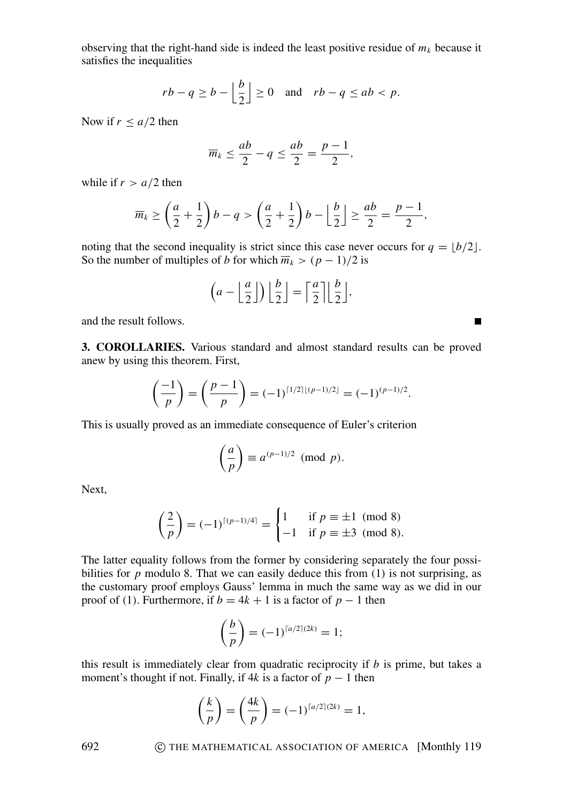observing that the right-hand side is indeed the least positive residue of  $m_k$  because it satisfies the inequalities

$$
rb - q \ge b - \left\lfloor \frac{b}{2} \right\rfloor \ge 0 \quad \text{and} \quad rb - q \le ab < p.
$$

Now if  $r < a/2$  then

$$
\overline{m}_k \le \frac{ab}{2} - q \le \frac{ab}{2} = \frac{p-1}{2},
$$

while if  $r > a/2$  then

$$
\overline{m}_k \ge \left(\frac{a}{2} + \frac{1}{2}\right)b - q > \left(\frac{a}{2} + \frac{1}{2}\right)b - \left\lfloor\frac{b}{2}\right\rfloor \ge \frac{ab}{2} = \frac{p-1}{2}.
$$

noting that the second inequality is strict since this case never occurs for  $q = |b/2|$ . So the number of multiples of b for which  $\overline{m}_k > (p-1)/2$  is

$$
\left(a - \left\lfloor \frac{a}{2} \right\rfloor\right) \left\lfloor \frac{b}{2} \right\rfloor = \left\lceil \frac{a}{2} \right\rceil \left\lfloor \frac{b}{2} \right\rfloor,
$$

 $\blacksquare$ 

and the result follows.

**3. COROLLARIES.** Various standard and almost standard results can be proved anew by using this theorem. First,

$$
\left(\frac{-1}{p}\right) = \left(\frac{p-1}{p}\right) = (-1)^{\lceil 1/2 \rceil \lfloor (p-1)/2 \rfloor} = (-1)^{(p-1)/2}.
$$

This is usually proved as an immediate consequence of Euler's criterion

$$
\left(\frac{a}{p}\right) \equiv a^{(p-1)/2} \pmod{p}.
$$

Next,

$$
\left(\frac{2}{p}\right) = (-1)^{\lceil (p-1)/4 \rceil} = \begin{cases} 1 & \text{if } p \equiv \pm 1 \pmod{8} \\ -1 & \text{if } p \equiv \pm 3 \pmod{8}. \end{cases}
$$

The latter equality follows from the former by considering separately the four possibilities for  $p$  modulo 8. That we can easily deduce this from  $(1)$  is not surprising, as the customary proof employs Gauss' lemma in much the same way as we did in our proof of (1). Furthermore, if  $b = 4k + 1$  is a factor of  $p - 1$  then

$$
\left(\frac{b}{p}\right) = (-1)^{\lceil a/2 \rceil (2k)} = 1;
$$

this result is immediately clear from quadratic reciprocity if  $b$  is prime, but takes a moment's thought if not. Finally, if 4k is a factor of  $p-1$  then

$$
\left(\frac{k}{p}\right) = \left(\frac{4k}{p}\right) = (-1)^{\lceil a/2 \rceil (2k)} = 1.
$$

692